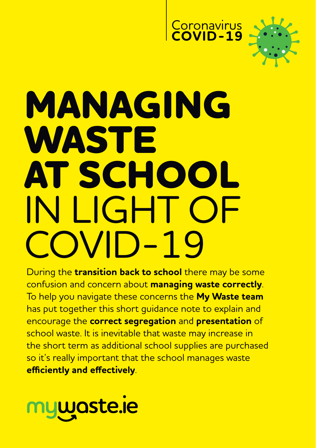



# **MANAGING WASTE AT SCHOOL**  IN LIGHT OF COVID-19

During the **transition back to school** there may be some confusion and concern about **managing waste correctly**. To help you navigate these concerns the **My Waste team** has put together this short guidance note to explain and encourage the **correct segregation** and **presentation** of school waste. It is inevitable that waste may increase in the short term as additional school supplies are purchased so it's really important that the school manages waste **efficiently and effectively**.

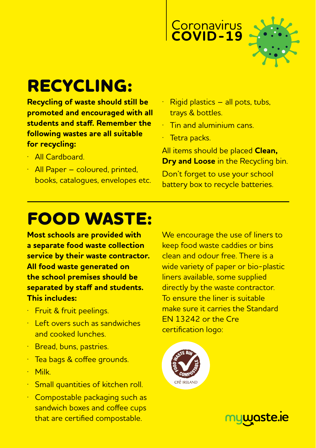



### **RECYCLING:**

**Recycling of waste should still be promoted and encouraged with all students and staff. Remember the following wastes are all suitable for recycling:**

- · All Cardboard.
- · All Paper coloured, printed, books, catalogues, envelopes etc.
- $\overline{R}\$ iqid plastics all pots, tubs, trays & bottles.
- · Tin and aluminium cans.
- · Tetra packs.

All items should be placed **Clean, Dry and Loose** in the Recycling bin.

Don't forget to use your school battery box to recycle batteries.

### **FOOD WASTE:**

**Most schools are provided with a separate food waste collection service by their waste contractor. All food waste generated on the school premises should be separated by staff and students. This includes:**

- · Fruit & fruit peelings.
- · Left overs such as sandwiches and cooked lunches.
- · Bread, buns, pastries.
- Tea bags & coffee grounds.
- · Milk.
- **Small quantities of kitchen roll.**
- · Compostable packaging such as sandwich boxes and coffee cups that are certified compostable.

We encourage the use of liners to keep food waste caddies or bins clean and odour free. There is a wide variety of paper or bio-plastic liners available, some supplied directly by the waste contractor. To ensure the liner is suitable make sure it carries the Standard EN 13242 or the Cre certification logo:



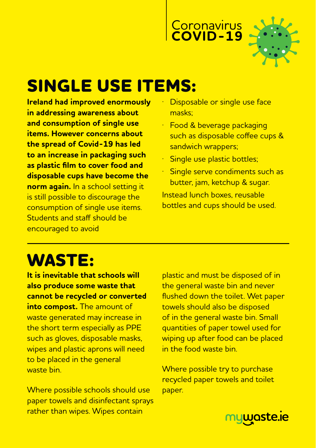



### **SINGLE USE ITEMS:**

**Ireland had improved enormously in addressing awareness about and consumption of single use items. However concerns about the spread of Covid-19 has led to an increase in packaging such as plastic film to cover food and disposable cups have become the norm again.** In a school setting it is still possible to discourage the consumption of single use items. Students and staff should be encouraged to avoid

- Disposable or single use face masks;
- · Food & beverage packaging such as disposable coffee cups & sandwich wrappers;
- Single use plastic bottles;
- Single serve condiments such as butter, jam, ketchup & sugar. Instead lunch boxes, reusable bottles and cups should be used.

# **WASTE:**

**It is inevitable that schools will also produce some waste that cannot be recycled or converted into compost.** The amount of waste generated may increase in the short term especially as PPE such as gloves, disposable masks, wipes and plastic aprons will need to be placed in the general waste bin.

Where possible schools should use paper towels and disinfectant sprays rather than wipes. Wipes contain

plastic and must be disposed of in the general waste bin and never flushed down the toilet. Wet paper towels should also be disposed of in the general waste bin. Small quantities of paper towel used for wiping up after food can be placed in the food waste bin.

Where possible try to purchase recycled paper towels and toilet paper.